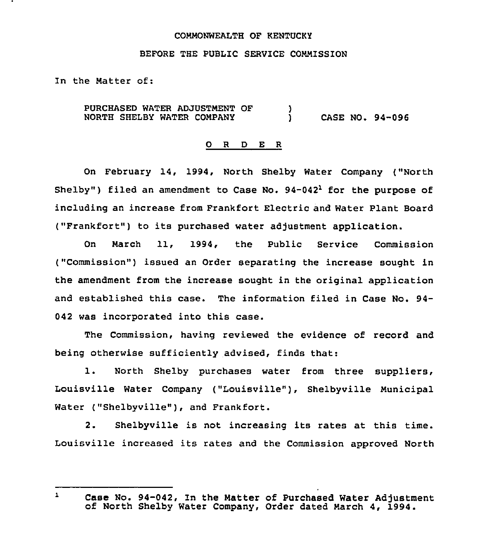#### COMMONWEALTH OF KENTUCKY

### BEFORE THE PUBLIC SERVICE COMMISSION

In the Matter of:

PURCHASED WATER ADJUSTMENT OF NORTH SHELBY WATER COMPANY  $)$ ) CASE NO. 94-096

#### O R D E R

On February 14, 1994, North Shelby Water Company ("North Shelby") filed an amendment to Case No.  $94-042<sup>1</sup>$  for the purpose of including an increase from Frankfort Electric and Water Plant Board ("Frankfort") to its purchased water adjustment application.

On March 11, 1994, the Public Service Commission ("Commission") issued an Order separating the increase sought in the amendment from the increase sought in the original application and established this case. The information filed in Case No. 94- 042 was incorporated into this case.

The Commission, having reviewed the evidence of record and being otherwise sufficiently advised, finds that:

1. North Shelby purchases water from three suppliers, Louisville Water Company ("Louisville" ), Shelbyville Municipal Water ("Shelbyville"), and Frankfort.

2. Shelbyville is not increasing its rates at this time. Louisville increased its rates and the Commission approved North

 $\mathbf{1}$ 

Case No. 94-042, In the Matter of Purchased Water Adjustment of North Shelby Water Company, Order dated March 4, 1994.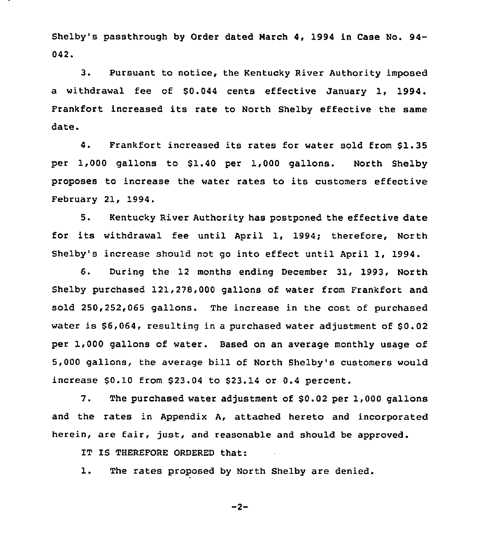Shelby's passthrough by Order dated Narch 4, 1994 in Case No. 94- 042.

3. Pursuant to notice, the Kentucky River Authority imposed a withdrawal fee of \$0.044 cents effective January 1, 1994. Frankfort increased its rate to North Shelby effective the same date.

4. Frankfort increased its rates for water sold from \$1.35 per 1,000 gallons to \$1.40 per 1,000 gallons. North Shelby proposes to increase the water rates to its customers effective February 21, 1994

5. Kentucky River Authority has postponed the effective date for its withdrawal fee until April 1, 1994; therefore, North Shelby's increase should not go into effect until April 1, 1994.

6. During the 12 months ending December 31, 1993, North Shelby purchased 121,278,000 gallons of water from Frankfort and sold 250,252,065 gallons. The increase in the cost of purchased water is \$6,064, resulting in a purchased water adjustment of \$0.02 per 1,000 gallons of water. Based on an average monthly usage of 5,000 gallons, the average bill of North Shelby's customers would increase  $$0.10$  from  $$23.04$  to  $$23.14$  or  $0.4$  percent.

7. The purchased water adjustment of \$0.02 per 1,000 gallons and the rates in Appendix A, attached hereto and incorporated herein, are fair, just, and reasonable and should be approved.

IT IS THEREFORE ORDERED that:

1. The rates proposed by North Shelby are denied.

 $-2-$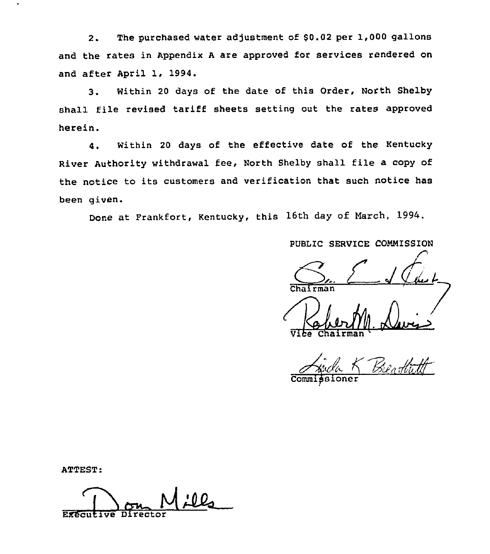2. The purchased water adjustment of \$0.02 per 1,000 gallons and the rates in Appendix <sup>A</sup> are approved for services rendered on and after April 1, 1994.

3. Within <sup>20</sup> days of the date of this Order, North Shelby shall file revised tariff sheets setting out the rates approved herein.

4, Within <sup>20</sup> days of the effective date of the Kentucky River Authority withdrawal fee, North Shelby shall file a copy of the notice to its customers and verification that such notice has been given.

Done at Frankfort, Kentucky, this 16th day of March, 1994.

PUBLIC SERVICE COMMISSION

Irman

Vehert Vi<del>ce</del> Chairma

Commi<del>ş</del>sione

ATTEST:

Mf Executive Director